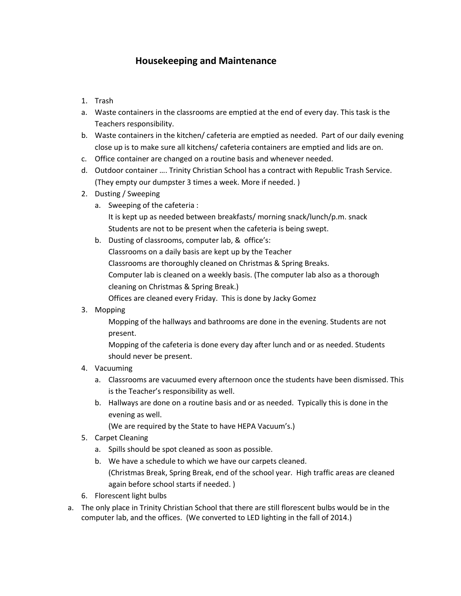## **Housekeeping and Maintenance**

- 1. Trash
- a. Waste containers in the classrooms are emptied at the end of every day. This task is the Teachers responsibility.
- b. Waste containers in the kitchen/ cafeteria are emptied as needed. Part of our daily evening close up is to make sure all kitchens/ cafeteria containers are emptied and lids are on.
- c. Office container are changed on a routine basis and whenever needed.
- d. Outdoor container …. Trinity Christian School has a contract with Republic Trash Service. (They empty our dumpster 3 times a week. More if needed. )
- 2. Dusting / Sweeping
	- a. Sweeping of the cafeteria : It is kept up as needed between breakfasts/ morning snack/lunch/p.m. snack Students are not to be present when the cafeteria is being swept.
	- b. Dusting of classrooms, computer lab, & office's: Classrooms on a daily basis are kept up by the Teacher Classrooms are thoroughly cleaned on Christmas & Spring Breaks. Computer lab is cleaned on a weekly basis. (The computer lab also as a thorough cleaning on Christmas & Spring Break.) Offices are cleaned every Friday. This is done by Jacky Gomez
- 3. Mopping

Mopping of the hallways and bathrooms are done in the evening. Students are not present.

Mopping of the cafeteria is done every day after lunch and or as needed. Students should never be present.

- 4. Vacuuming
	- a. Classrooms are vacuumed every afternoon once the students have been dismissed. This is the Teacher's responsibility as well.
	- b. Hallways are done on a routine basis and or as needed. Typically this is done in the evening as well.

(We are required by the State to have HEPA Vacuum's.)

- 5. Carpet Cleaning
	- a. Spills should be spot cleaned as soon as possible.
	- b. We have a schedule to which we have our carpets cleaned. (Christmas Break, Spring Break, end of the school year. High traffic areas are cleaned again before school starts if needed. )
- 6. Florescent light bulbs
- a. The only place in Trinity Christian School that there are still florescent bulbs would be in the computer lab, and the offices. (We converted to LED lighting in the fall of 2014.)